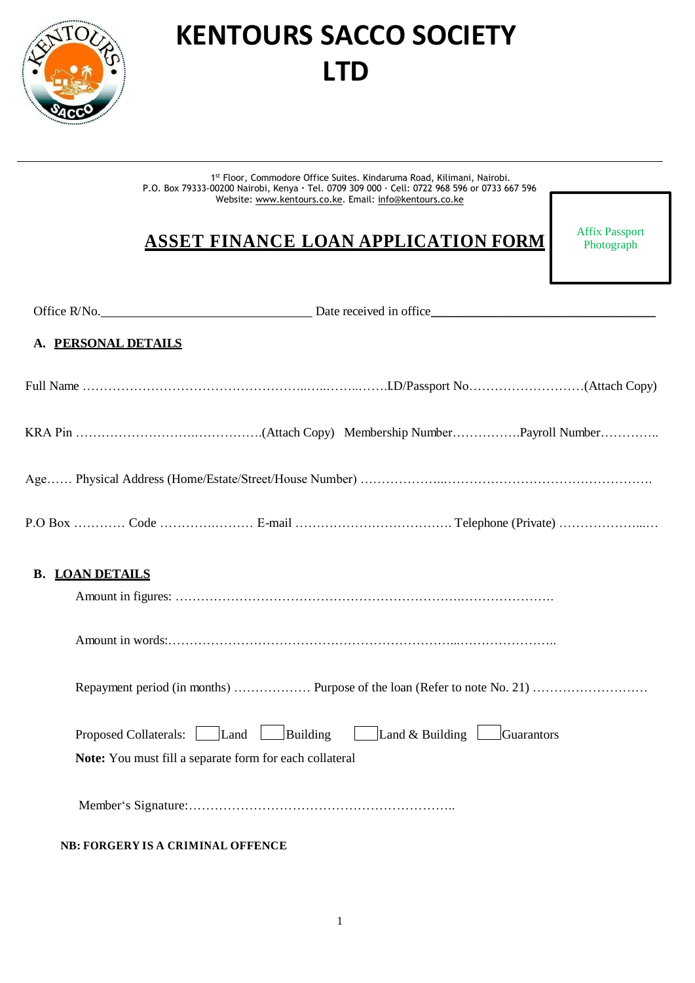

# **KENTOURS SACCO SOCIETY LTD**

1<sup>st</sup> Floor, Commodore Office Suites. Kindaruma Road, Kilimani, Nairobi. P.O. Box 79333-00200 Nairobi, Kenya **·** Tel. 0709 309 000 · Cell: 0722 968 596 or 0733 667 596 Website: [www.kentours.co.ke.](http://www.kentours.co.ke/) Email: [info@kentours.co.ke](mailto:info@kentours.co.ke)

## **ASSET FINANCE LOAN APPLICATION FORM**

Affix Passport Photograph

| Office R/No. Date received in office Date received in office                                                                               |
|--------------------------------------------------------------------------------------------------------------------------------------------|
| A. PERSONAL DETAILS                                                                                                                        |
|                                                                                                                                            |
|                                                                                                                                            |
|                                                                                                                                            |
|                                                                                                                                            |
| <b>B. LOAN DETAILS</b>                                                                                                                     |
|                                                                                                                                            |
|                                                                                                                                            |
| Proposed Collaterals: Land Building<br>$\Box$ Land & Building $\Box$ Guarantors<br>Note: You must fill a separate form for each collateral |
|                                                                                                                                            |
| <b>NB: FORGERY IS A CRIMINAL OFFENCE</b>                                                                                                   |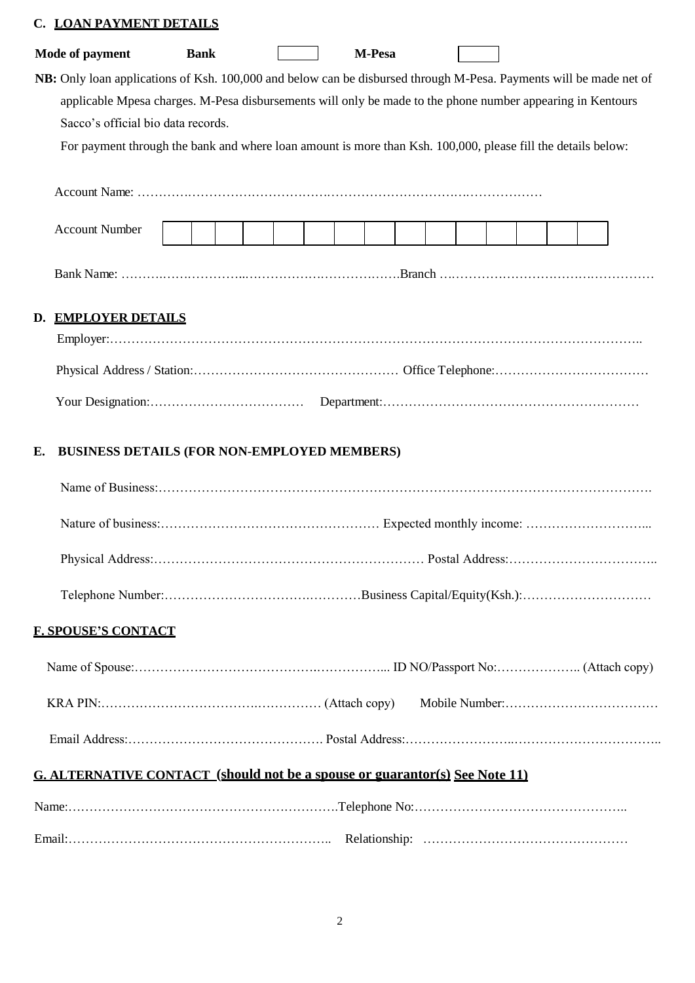## **C. LOAN PAYMENT DETAILS**

|                                                                                                                                                    | <b>Bank</b> |  |  |  |  | M-Pesa |  |  |  |  |  |  |
|----------------------------------------------------------------------------------------------------------------------------------------------------|-------------|--|--|--|--|--------|--|--|--|--|--|--|
| NB: Only loan applications of Ksh. 100,000 and below can be disbursed through M-Pesa. Payments will be made net of                                 |             |  |  |  |  |        |  |  |  |  |  |  |
| applicable Mpesa charges. M-Pesa disbursements will only be made to the phone number appearing in Kentours                                         |             |  |  |  |  |        |  |  |  |  |  |  |
| Sacco's official bio data records.<br>For payment through the bank and where loan amount is more than Ksh. 100,000, please fill the details below: |             |  |  |  |  |        |  |  |  |  |  |  |
|                                                                                                                                                    |             |  |  |  |  |        |  |  |  |  |  |  |
|                                                                                                                                                    |             |  |  |  |  |        |  |  |  |  |  |  |
| <b>Account Number</b>                                                                                                                              |             |  |  |  |  |        |  |  |  |  |  |  |
|                                                                                                                                                    |             |  |  |  |  |        |  |  |  |  |  |  |
| D. EMPLOYER DETAILS                                                                                                                                |             |  |  |  |  |        |  |  |  |  |  |  |
|                                                                                                                                                    |             |  |  |  |  |        |  |  |  |  |  |  |
|                                                                                                                                                    |             |  |  |  |  |        |  |  |  |  |  |  |
|                                                                                                                                                    |             |  |  |  |  |        |  |  |  |  |  |  |
| <b>BUSINESS DETAILS (FOR NON-EMPLOYED MEMBERS)</b><br>Е.                                                                                           |             |  |  |  |  |        |  |  |  |  |  |  |
|                                                                                                                                                    |             |  |  |  |  |        |  |  |  |  |  |  |
|                                                                                                                                                    |             |  |  |  |  |        |  |  |  |  |  |  |
|                                                                                                                                                    |             |  |  |  |  |        |  |  |  |  |  |  |
|                                                                                                                                                    |             |  |  |  |  |        |  |  |  |  |  |  |
|                                                                                                                                                    |             |  |  |  |  |        |  |  |  |  |  |  |
|                                                                                                                                                    |             |  |  |  |  |        |  |  |  |  |  |  |
|                                                                                                                                                    |             |  |  |  |  |        |  |  |  |  |  |  |
|                                                                                                                                                    |             |  |  |  |  |        |  |  |  |  |  |  |
| <b>F. SPOUSE'S CONTACT</b><br><b>G. ALTERNATIVE CONTACT (should not be a spouse or guarantor(s) See Note 11)</b>                                   |             |  |  |  |  |        |  |  |  |  |  |  |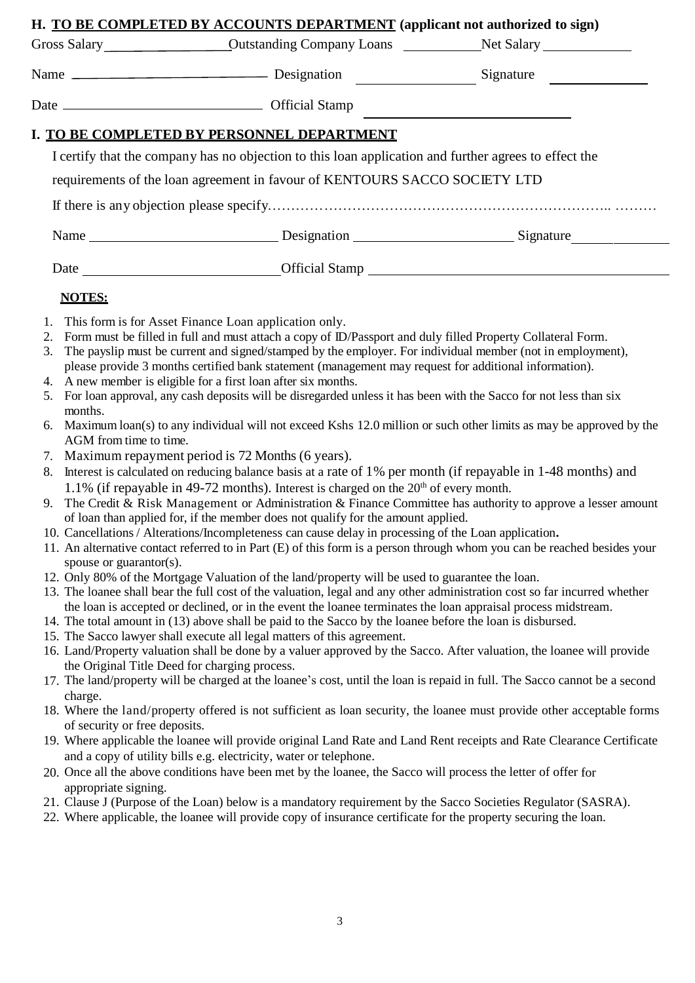|                        | H. TO BE COMPLETED BY ACCOUNTS DEPARTMENT (applicant not authorized to sign)                                                                                                                                                         |  |  |  |  |  |  |  |  |
|------------------------|--------------------------------------------------------------------------------------------------------------------------------------------------------------------------------------------------------------------------------------|--|--|--|--|--|--|--|--|
|                        | Gross Salary <b>Contract Contract Contract Contract Contract Contract Contract Contract Contract Contract Contract Contract Contract Contract Contract Contract Contract Contract Contract Contract Contract Contract Contract C</b> |  |  |  |  |  |  |  |  |
|                        |                                                                                                                                                                                                                                      |  |  |  |  |  |  |  |  |
|                        |                                                                                                                                                                                                                                      |  |  |  |  |  |  |  |  |
|                        | I. TO BE COMPLETED BY PERSONNEL DEPARTMENT                                                                                                                                                                                           |  |  |  |  |  |  |  |  |
|                        | I certify that the company has no objection to this loan application and further agrees to effect the                                                                                                                                |  |  |  |  |  |  |  |  |
|                        | requirements of the loan agreement in favour of KENTOURS SACCO SOCIETY LTD                                                                                                                                                           |  |  |  |  |  |  |  |  |
|                        |                                                                                                                                                                                                                                      |  |  |  |  |  |  |  |  |
|                        | Name Signature Designation Signature                                                                                                                                                                                                 |  |  |  |  |  |  |  |  |
|                        | Date __________________________________Official Stamp ___________________________                                                                                                                                                    |  |  |  |  |  |  |  |  |
| <b>NOTES:</b>          |                                                                                                                                                                                                                                      |  |  |  |  |  |  |  |  |
| 1.                     | This form is for Asset Finance Loan application only.                                                                                                                                                                                |  |  |  |  |  |  |  |  |
| 2.                     | Form must be filled in full and must attach a copy of ID/Passport and duly filled Property Collateral Form.                                                                                                                          |  |  |  |  |  |  |  |  |
| 3.                     | The payslip must be current and signed/stamped by the employer. For individual member (not in employment),                                                                                                                           |  |  |  |  |  |  |  |  |
|                        | please provide 3 months certified bank statement (management may request for additional information).                                                                                                                                |  |  |  |  |  |  |  |  |
| 5.                     | 4. A new member is eligible for a first loan after six months.<br>For loan approval, any cash deposits will be disregarded unless it has been with the Sacco for not less than six                                                   |  |  |  |  |  |  |  |  |
| months.                |                                                                                                                                                                                                                                      |  |  |  |  |  |  |  |  |
| 6.                     | Maximum loan(s) to any individual will not exceed Kshs 12.0 million or such other limits as may be approved by the                                                                                                                   |  |  |  |  |  |  |  |  |
| AGM from time to time. |                                                                                                                                                                                                                                      |  |  |  |  |  |  |  |  |
| 7.                     | Maximum repayment period is 72 Months (6 years).                                                                                                                                                                                     |  |  |  |  |  |  |  |  |
| 8.                     | Interest is calculated on reducing balance basis at a rate of 1% per month (if repayable in 1-48 months) and<br>1.1% (if repayable in 49-72 months). Interest is charged on the $20th$ of every month.                               |  |  |  |  |  |  |  |  |
|                        |                                                                                                                                                                                                                                      |  |  |  |  |  |  |  |  |

- 9. The Credit & Risk Management or Administration & Finance Committee has authority to approve a lesser amount of loan than applied for, if the member does not qualify for the amount applied.
- 10. Cancellations / Alterations/Incompleteness can cause delay in processing of the Loan application**.**
- 11. An alternative contact referred to in Part (E) of this form is a person through whom you can be reached besides your spouse or guarantor(s).
- 12. Only 80% of the Mortgage Valuation of the land/property will be used to guarantee the loan.
- 13. The loanee shall bear the full cost of the valuation, legal and any other administration cost so far incurred whether the loan is accepted or declined, or in the event the loanee terminates the loan appraisal process midstream.
- 14. The total amount in (13) above shall be paid to the Sacco by the loanee before the loan is disbursed.
- 15. The Sacco lawyer shall execute all legal matters of this agreement.
- 16. Land/Property valuation shall be done by a valuer approved by the Sacco. After valuation, the loanee will provide the Original Title Deed for charging process.
- 17. The land/property will be charged at the loanee's cost, until the loan is repaid in full. The Sacco cannot be a second charge.
- 18. Where the land/property offered is not sufficient as loan security, the loanee must provide other acceptable forms of security or free deposits.
- 19. Where applicable the loanee will provide original Land Rate and Land Rent receipts and Rate Clearance Certificate and a copy of utility bills e.g. electricity, water or telephone.
- 20. Once all the above conditions have been met by the loanee, the Sacco will process the letter of offer for appropriate signing.
- 21. Clause J (Purpose of the Loan) below is a mandatory requirement by the Sacco Societies Regulator (SASRA).
- 22. Where applicable, the loanee will provide copy of insurance certificate for the property securing the loan.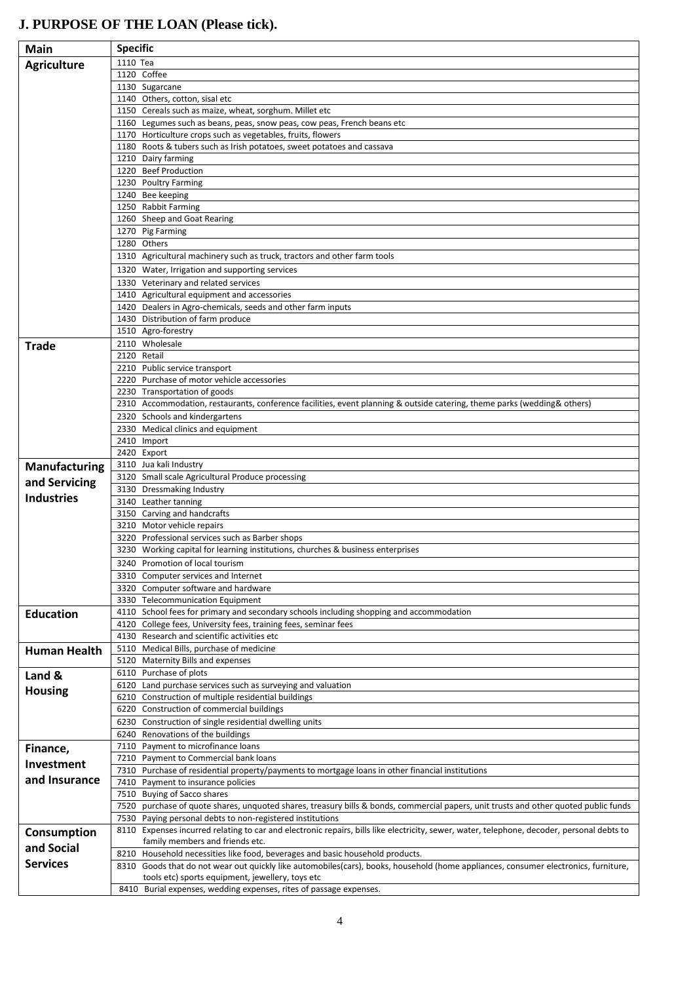# **J. PURPOSE OF THE LOAN (Please tick).**

| <b>Main</b>          | <b>Specific</b>                                                                                                                                                                         |  |  |  |  |  |  |  |
|----------------------|-----------------------------------------------------------------------------------------------------------------------------------------------------------------------------------------|--|--|--|--|--|--|--|
| <b>Agriculture</b>   | 1110 Tea                                                                                                                                                                                |  |  |  |  |  |  |  |
|                      | 1120 Coffee                                                                                                                                                                             |  |  |  |  |  |  |  |
|                      | 1130 Sugarcane                                                                                                                                                                          |  |  |  |  |  |  |  |
|                      | 1140 Others, cotton, sisal etc                                                                                                                                                          |  |  |  |  |  |  |  |
|                      | 1150 Cereals such as maize, wheat, sorghum. Millet etc<br>1160 Legumes such as beans, peas, snow peas, cow peas, French beans etc                                                       |  |  |  |  |  |  |  |
|                      | 1170 Horticulture crops such as vegetables, fruits, flowers                                                                                                                             |  |  |  |  |  |  |  |
|                      | 1180 Roots & tubers such as Irish potatoes, sweet potatoes and cassava                                                                                                                  |  |  |  |  |  |  |  |
|                      | 1210 Dairy farming                                                                                                                                                                      |  |  |  |  |  |  |  |
|                      | 1220 Beef Production                                                                                                                                                                    |  |  |  |  |  |  |  |
|                      | 1230 Poultry Farming                                                                                                                                                                    |  |  |  |  |  |  |  |
|                      | 1240 Bee keeping<br>1250 Rabbit Farming                                                                                                                                                 |  |  |  |  |  |  |  |
|                      | 1260 Sheep and Goat Rearing                                                                                                                                                             |  |  |  |  |  |  |  |
|                      | 1270 Pig Farming                                                                                                                                                                        |  |  |  |  |  |  |  |
|                      | 1280 Others                                                                                                                                                                             |  |  |  |  |  |  |  |
|                      | 1310 Agricultural machinery such as truck, tractors and other farm tools                                                                                                                |  |  |  |  |  |  |  |
|                      | 1320 Water, Irrigation and supporting services                                                                                                                                          |  |  |  |  |  |  |  |
|                      | 1330 Veterinary and related services                                                                                                                                                    |  |  |  |  |  |  |  |
|                      | 1410 Agricultural equipment and accessories                                                                                                                                             |  |  |  |  |  |  |  |
|                      | 1420 Dealers in Agro-chemicals, seeds and other farm inputs<br>1430 Distribution of farm produce                                                                                        |  |  |  |  |  |  |  |
|                      | 1510 Agro-forestry                                                                                                                                                                      |  |  |  |  |  |  |  |
| <b>Trade</b>         | 2110 Wholesale                                                                                                                                                                          |  |  |  |  |  |  |  |
|                      | 2120 Retail                                                                                                                                                                             |  |  |  |  |  |  |  |
|                      | 2210 Public service transport                                                                                                                                                           |  |  |  |  |  |  |  |
|                      | 2220 Purchase of motor vehicle accessories<br>2230 Transportation of goods                                                                                                              |  |  |  |  |  |  |  |
|                      | 2310 Accommodation, restaurants, conference facilities, event planning & outside catering, theme parks (wedding& others)                                                                |  |  |  |  |  |  |  |
|                      | 2320 Schools and kindergartens                                                                                                                                                          |  |  |  |  |  |  |  |
|                      | 2330 Medical clinics and equipment                                                                                                                                                      |  |  |  |  |  |  |  |
|                      | 2410 Import                                                                                                                                                                             |  |  |  |  |  |  |  |
|                      | 2420 Export                                                                                                                                                                             |  |  |  |  |  |  |  |
| <b>Manufacturing</b> | 3110 Jua kali Industry<br>3120 Small scale Agricultural Produce processing                                                                                                              |  |  |  |  |  |  |  |
| and Servicing        | 3130 Dressmaking Industry                                                                                                                                                               |  |  |  |  |  |  |  |
| <b>Industries</b>    | 3140 Leather tanning                                                                                                                                                                    |  |  |  |  |  |  |  |
|                      | 3150 Carving and handcrafts                                                                                                                                                             |  |  |  |  |  |  |  |
|                      | 3210 Motor vehicle repairs                                                                                                                                                              |  |  |  |  |  |  |  |
|                      | 3220 Professional services such as Barber shops<br>3230 Working capital for learning institutions, churches & business enterprises                                                      |  |  |  |  |  |  |  |
|                      | 3240 Promotion of local tourism                                                                                                                                                         |  |  |  |  |  |  |  |
|                      | 3310 Computer services and Internet                                                                                                                                                     |  |  |  |  |  |  |  |
|                      | 3320 Computer software and hardware                                                                                                                                                     |  |  |  |  |  |  |  |
|                      | 3330 Telecommunication Equipment                                                                                                                                                        |  |  |  |  |  |  |  |
| <b>Education</b>     | 4110 School fees for primary and secondary schools including shopping and accommodation                                                                                                 |  |  |  |  |  |  |  |
|                      | 4120 College fees, University fees, training fees, seminar fees<br>4130 Research and scientific activities etc                                                                          |  |  |  |  |  |  |  |
| <b>Human Health</b>  | 5110 Medical Bills, purchase of medicine                                                                                                                                                |  |  |  |  |  |  |  |
|                      | 5120 Maternity Bills and expenses                                                                                                                                                       |  |  |  |  |  |  |  |
| Land &               | 6110 Purchase of plots                                                                                                                                                                  |  |  |  |  |  |  |  |
| <b>Housing</b>       | 6120 Land purchase services such as surveying and valuation                                                                                                                             |  |  |  |  |  |  |  |
|                      | 6210 Construction of multiple residential buildings                                                                                                                                     |  |  |  |  |  |  |  |
|                      | 6220 Construction of commercial buildings<br>6230 Construction of single residential dwelling units                                                                                     |  |  |  |  |  |  |  |
|                      | 6240 Renovations of the buildings                                                                                                                                                       |  |  |  |  |  |  |  |
| Finance,             | 7110 Payment to microfinance loans                                                                                                                                                      |  |  |  |  |  |  |  |
| Investment           | 7210 Payment to Commercial bank loans                                                                                                                                                   |  |  |  |  |  |  |  |
| and Insurance        | 7310 Purchase of residential property/payments to mortgage loans in other financial institutions                                                                                        |  |  |  |  |  |  |  |
|                      | 7410 Payment to insurance policies                                                                                                                                                      |  |  |  |  |  |  |  |
|                      | 7510 Buying of Sacco shares<br>7520 purchase of quote shares, unquoted shares, treasury bills & bonds, commercial papers, unit trusts and other quoted public funds                     |  |  |  |  |  |  |  |
|                      | 7530 Paying personal debts to non-registered institutions                                                                                                                               |  |  |  |  |  |  |  |
| Consumption          | 8110 Expenses incurred relating to car and electronic repairs, bills like electricity, sewer, water, telephone, decoder, personal debts to                                              |  |  |  |  |  |  |  |
| and Social           | family members and friends etc.                                                                                                                                                         |  |  |  |  |  |  |  |
| <b>Services</b>      | 8210 Household necessities like food, beverages and basic household products.                                                                                                           |  |  |  |  |  |  |  |
|                      | 8310 Goods that do not wear out quickly like automobiles(cars), books, household (home appliances, consumer electronics, furniture,<br>tools etc) sports equipment, jewellery, toys etc |  |  |  |  |  |  |  |
|                      | 8410 Burial expenses, wedding expenses, rites of passage expenses.                                                                                                                      |  |  |  |  |  |  |  |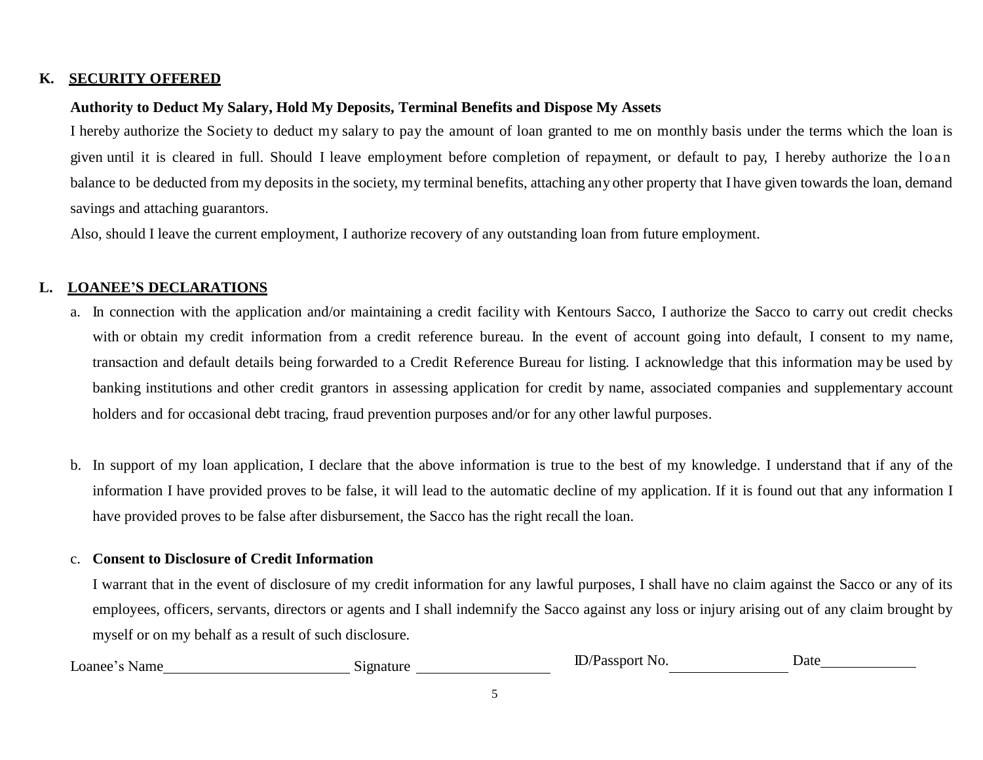#### **K. SECURITY OFFERED**

#### **Authority to Deduct My Salary, Hold My Deposits, Terminal Benefits and Dispose My Assets**

I hereby authorize the Society to deduct my salary to pay the amount of loan granted to me on monthly basis under the terms which the loan is given until it is cleared in full. Should I leave employment before completion of repayment, or default to pay, I hereby authorize the loan balance to be deducted from my deposits in the society, my terminal benefits, attaching any other property that I have given towards the loan, demand savings and attaching guarantors.

Also, should I leave the current employment, I authorize recovery of any outstanding loan from future employment.

#### **L. LOANEE'S DECLARATIONS**

- a. In connection with the application and/or maintaining a credit facility with Kentours Sacco, I authorize the Sacco to carry out credit checks with or obtain my credit information from a credit reference bureau. In the event of account going into default, I consent to my name, transaction and default details being forwarded to a Credit Reference Bureau for listing. I acknowledge that this information may be used by banking institutions and other credit grantors in assessing application for credit by name, associated companies and supplementary account holders and for occasional debt tracing, fraud prevention purposes and/or for any other lawful purposes.
- b. In support of my loan application, I declare that the above information is true to the best of my knowledge. I understand that if any of the information I have provided proves to be false, it will lead to the automatic decline of my application. If it is found out that any information I have provided proves to be false after disbursement, the Sacco has the right recall the loan.

#### c. **Consent to Disclosure of Credit Information**

I warrant that in the event of disclosure of my credit information for any lawful purposes, I shall have no claim against the Sacco or any of its employees, officers, servants, directors or agents and I shall indemnify the Sacco against any loss or injury arising out of any claim brought by myself or on my behalf as a result of such disclosure.

| $\text{LO}$ anee<br>Name | ∠natur⊂<br>. 1 UP | snori<br>No.<br>، ہ ب | <b>Jate</b> |
|--------------------------|-------------------|-----------------------|-------------|
|                          | . .               |                       |             |